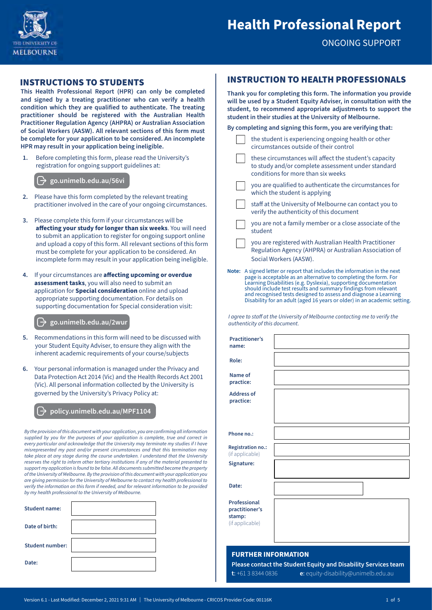

ONGOING SUPPORT

## INSTRUCTIONS TO STUDENTS

**This Health Professional Report (HPR) can only be completed and signed by a treating practitioner who can verify a health condition which they are qualified to authenticate. The treating practitioner should be registered with the Australian Health Practitioner Regulation Agency (AHPRA) or Australian Association of Social Workers (AASW). All relevant sections of this form must be complete for your application to be considered. An incomplete HPR may result in your application being ineligible.**

**1.** Before completing this form, please read the University's registration for ongoing support guidelines at:

**[go.unimelb.edu.au/5](http://go.unimelb.edu.au/56vi)6vi**

- **2.** Please have this form completed by the relevant treating practitioner involved in the care of your ongoing circumstances.
- **3.** Please complete this form if your circumstances will be **affecting your study for longer than six weeks**. You will need to submit an application to register for ongoing support online and upload a copy of this form. All relevant sections of this form must be complete for your application to be considered. An incomplete form may result in your application being ineligible.
- **4.** If your circumstances are **affecting upcoming or overdue assessment tasks**, you will also need to submit an application for **Special consideration** online and upload appropriate supporting documentation. For details on supporting documentation for Special consideration visit:

**[go.unimelb.edu.au/2](http://go.unimelb.edu.au/2wur)wur**

- **5.** Recommendations in this form will need to be discussed with your Student Equity Adviser, to ensure they align with the inherent academic requirements of your course/subjects
- **6.** Your personal information is managed under the Privacy and Data Protection Act 2014 (Vic) and the Health Records Act 2001 (Vic). All personal information collected by the University is governed by the University's Privacy Policy at:

#### **[policy.unimelb.edu.au/MPF1104](https://policy.unimelb.edu.au/MPF1104)**

*By the provision of this document with your application, you are confirming all information supplied by you for the purposes of your application is complete, true and correct in every particular and acknowledge that the University may terminate my studies if I have misrepresented my past and/or present circumstances and that this termination may take place at any stage during the course undertaken. I understand that the University reserves the right to inform other tertiary institutions if any of the material presented to support my application is found to be false. All documents submitted become the property of the University of Melbourne. By the provision of this document with your application you are giving permission for the University of Melbourne to contact my health professional to verify the information on this form if needed, and for relevant information to be provided by my health professional to the University of Melbourne.*

| <b>Student name:</b>   |  |
|------------------------|--|
| Date of birth:         |  |
| <b>Student number:</b> |  |
| Date:                  |  |

## INSTRUCTION TO HEALTH PROFESSIONALS

**Thank you for completing this form. The information you provide will be used by a Student Equity Adviser, in consultation with the student, to recommend appropriate adjustments to support the student in their studies at the University of Melbourne.**

| By completing and signing this form, you are verifying that: |                                                                                               |  |  |
|--------------------------------------------------------------|-----------------------------------------------------------------------------------------------|--|--|
|                                                              | the student is experiencing ongoing health or other<br>circumstances outside of their control |  |  |
|                                                              | these circumstances will affect the student's capacity                                        |  |  |

- to study and/or complete assessment under standard conditions for more than six weeks
- you are qualified to authenticate the circumstances for which the student is applying
- staff at the University of Melbourne can contact you to verify the authenticity of this document
- you are not a family member or a close associate of the student
- you are registered with Australian Health Practitioner Regulation Agency (AHPRA) or Australian Association of Social Workers (AASW).
- **Note:** A signed letter or report that includes the information in the next page is acceptable as an alternative to completing the form. For Learning Disabilities (e.g. Dyslexia), supporting documentation should include test results and summary findings from relevant and recognised tests designed to assess and diagnose a Learning Disability for an adult (aged 16 years or older) in an academic setting.

*I agree to staff at the University of Melbourne contacting me to verify the authenticity of this document.*

| <b>Practitioner's</b><br>name:                                     |  |
|--------------------------------------------------------------------|--|
| Role:                                                              |  |
| Name of<br>practice:                                               |  |
| <b>Address of</b><br>practice:                                     |  |
| Phone no.:                                                         |  |
|                                                                    |  |
| <b>Registration no.:</b><br>(if applicable)                        |  |
| Signature:                                                         |  |
| Date:                                                              |  |
| <b>Professional</b><br>practitioner's<br>stamp:<br>(if applicable) |  |
|                                                                    |  |

## **FURTHER INFORMATION**

**Please contact the Student Equity and Disability Services team t**: +61 3 8344 0836 **e**: [equity-disability@unimelb.edu.au](mailto:equity-disability%40unimelb.edu.au?subject=)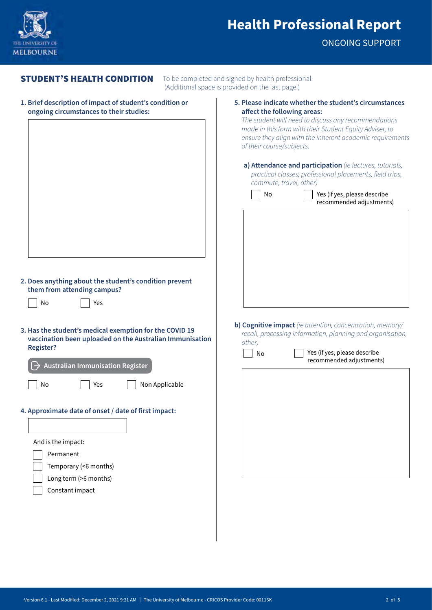

ONGOING SUPPORT

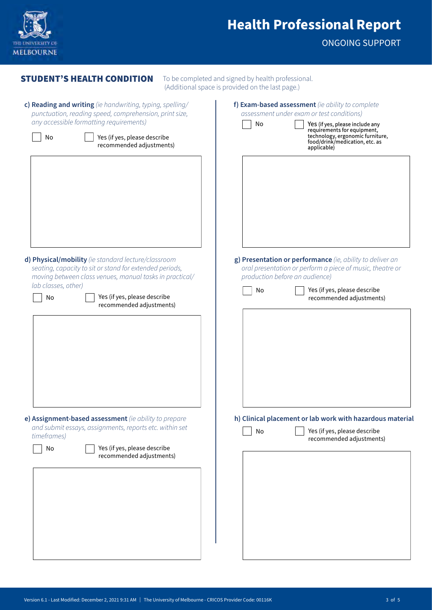

ONGOING SUPPORT

| <b>STUDENT'S HEALTH CONDITION</b>                                                                                                                                         | To be completed and signed by health professional.<br>(Additional space is provided on the last page.)                                                   |  |
|---------------------------------------------------------------------------------------------------------------------------------------------------------------------------|----------------------------------------------------------------------------------------------------------------------------------------------------------|--|
| c) Reading and writing (ie handwriting, typing, spelling/<br>punctuation, reading speed, comprehension, print size,<br>any accessible formatting requirements)            | f) Exam-based assessment (ie ability to complete<br>assessment under exam or test conditions)<br>No<br>Yes (if yes, please include any                   |  |
| Yes (if yes, please describe<br>No<br>recommended adjustments)                                                                                                            | requirements for equipment,<br>technology, ergonomic furniture,<br>food/drink/medication, etc. as<br>applicable)                                         |  |
|                                                                                                                                                                           |                                                                                                                                                          |  |
| d) Physical/mobility (ie standard lecture/classroom<br>seating, capacity to sit or stand for extended periods,<br>moving between class venues, manual tasks in practical/ | g) Presentation or performance (ie, ability to deliver an<br>oral presentation or perform a piece of music, theatre or<br>production before an audience) |  |
| lab classes, other)<br>Yes (if yes, please describe<br>No<br>recommended adjustments)                                                                                     | Yes (if yes, please describe<br>No<br>recommended adjustments)                                                                                           |  |
|                                                                                                                                                                           |                                                                                                                                                          |  |
| e) Assignment-based assessment (ie ability to prepare                                                                                                                     | h) Clinical placement or lab work with hazardous material                                                                                                |  |
| and submit essays, assignments, reports etc. within set<br>timeframes)<br>Yes (if yes, please describe<br>No<br>recommended adjustments)                                  | Yes (if yes, please describe<br>No<br>recommended adjustments)                                                                                           |  |
|                                                                                                                                                                           |                                                                                                                                                          |  |
|                                                                                                                                                                           |                                                                                                                                                          |  |
|                                                                                                                                                                           |                                                                                                                                                          |  |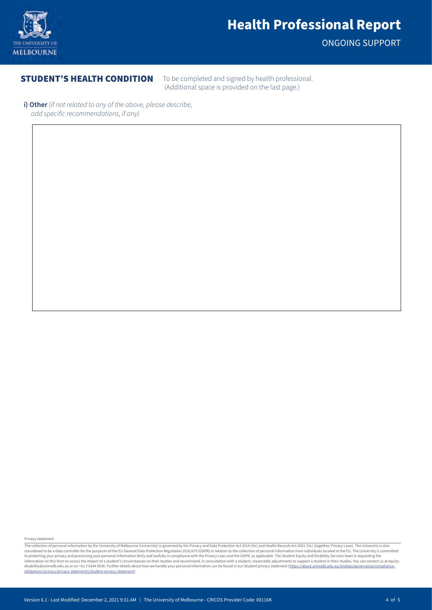

ONGOING SUPPORT

**STUDENT'S HEALTH CONDITION** To be completed and signed by health professional. (Additional space is provided on the last page.)

**i) Other** *(if not related to any of the above, please describe, add specific recommendations, if any)*

Privacy statement

The collection of personal information by the University of Melbourne (University) is governed by the Privacy and Data Protection Act 2014 (Vic) and Health Records Act 2001 (Vic) (together, Privacy Laws). The University is to protecting your privacy and processing your personal information fairly and lawfully in compliance with the Privacy Laws and the GDPR, as applicable. The Student Equity and Disability Services team is requesting the<br>inf [obligations/privacy/privacy-statements/student-privacy-statement\)](https://about.unimelb.edu.au/strategy/governance/compliance-obligations/privacy/privacy-statements/student-privacy-statement).